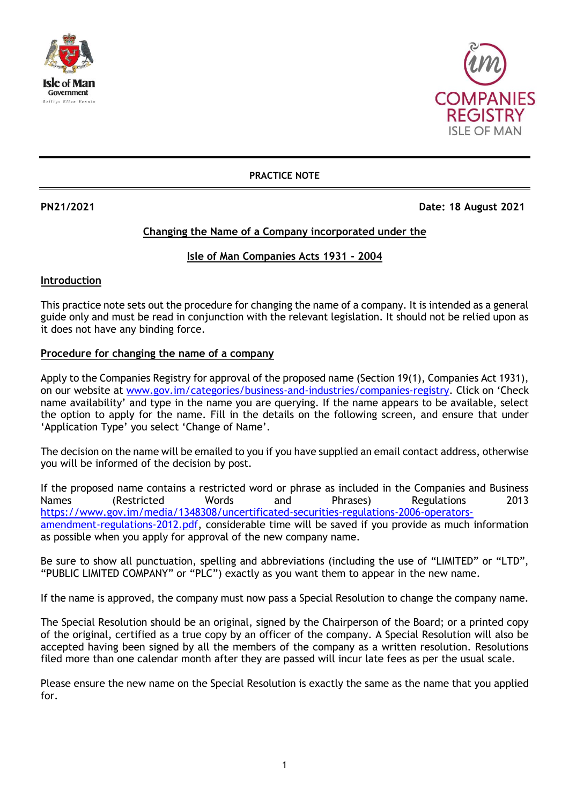



#### **PRACTICE NOTE**

**PN21/2021 Date: 18 August 2021**

# **Changing the Name of a Company incorporated under the**

## **Isle of Man Companies Acts 1931 - 2004**

### **Introduction**

This practice note sets out the procedure for changing the name of a company. It is intended as a general guide only and must be read in conjunction with the relevant legislation. It should not be relied upon as it does not have any binding force.

### **Procedure for changing the name of a company**

Apply to the Companies Registry for approval of the proposed name (Section 19(1), Companies Act 1931), on our website at [www.gov.im/categories/business-and-industries/companies-registry](http://www.gov.im/categories/business-and-industries/companies-registry). Click on 'Check name availability' and type in the name you are querying. If the name appears to be available, select the option to apply for the name. Fill in the details on the following screen, and ensure that under 'Application Type' you select 'Change of Name'.

The decision on the name will be emailed to you if you have supplied an email contact address, otherwise you will be informed of the decision by post.

If the proposed name contains a restricted word or phrase as included in the Companies and Business Names (Restricted Words and Phrases) Regulations 2013 [https://www.gov.im/media/1348308/uncertificated-securities-regulations-2006-operators](https://www.gov.im/media/1348308/uncertificated-securities-regulations-2006-operators-amendment-regulations-2012.pdf)[amendment-regulations-2012.pdf,](https://www.gov.im/media/1348308/uncertificated-securities-regulations-2006-operators-amendment-regulations-2012.pdf) considerable time will be saved if you provide as much information as possible when you apply for approval of the new company name.

Be sure to show all punctuation, spelling and abbreviations (including the use of "LIMITED" or "LTD", "PUBLIC LIMITED COMPANY" or "PLC") exactly as you want them to appear in the new name.

If the name is approved, the company must now pass a Special Resolution to change the company name.

The Special Resolution should be an original, signed by the Chairperson of the Board; or a printed copy of the original, certified as a true copy by an officer of the company. A Special Resolution will also be accepted having been signed by all the members of the company as a written resolution. Resolutions filed more than one calendar month after they are passed will incur late fees as per the usual scale.

Please ensure the new name on the Special Resolution is exactly the same as the name that you applied for.